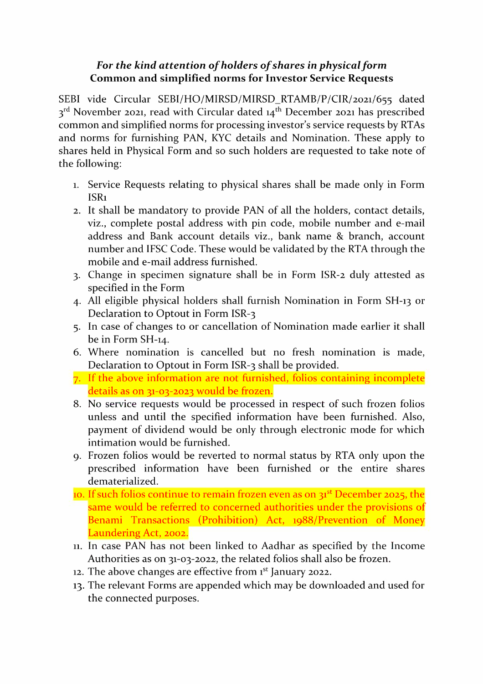## *For the kind attention of holders of shares in physical form*  **Common and simplified norms for Investor Service Requests**

SEBI vide Circular SEBI/HO/MIRSD/MIRSD\_RTAMB/P/CIR/2021/655 dated 3<sup>rd</sup> November 2021, read with Circular dated 14<sup>th</sup> December 2021 has prescribed common and simplified norms for processing investor's service requests by RTAs and norms for furnishing PAN, KYC details and Nomination. These apply to shares held in Physical Form and so such holders are requested to take note of the following:

- 1. Service Requests relating to physical shares shall be made only in Form ISR1
- 2. It shall be mandatory to provide PAN of all the holders, contact details, viz., complete postal address with pin code, mobile number and e-mail address and Bank account details viz., bank name & branch, account number and IFSC Code. These would be validated by the RTA through the mobile and e-mail address furnished.
- 3. Change in specimen signature shall be in Form ISR-2 duly attested as specified in the Form
- 4. All eligible physical holders shall furnish Nomination in Form SH-13 or Declaration to Optout in Form ISR-3
- 5. In case of changes to or cancellation of Nomination made earlier it shall be in Form SH-14.
- 6. Where nomination is cancelled but no fresh nomination is made, Declaration to Optout in Form ISR-3 shall be provided.
- 7. If the above information are not furnished, folios containing incompletq details as on 31-03-2023 would be frozen.
- 8. No service requests would be processed in respect of such frozen folios unless and until the specified information have been furnished. Also, payment of dividend would be only through electronic mode for which intimation would be furnished.
- 9. Frozen folios would be reverted to normal status by RTA only upon the prescribed information have been furnished or the entire shares dematerialized.
- o. If such folios continue to remain frozen even as on 31<sup>st</sup> December 2025, the same would be referred to concerned authorities under the provisions of Benami Transactions (Prohibition) Act, 1988/Prevention of Money Laundering Act, 2002.
- n. In case PAN has not been linked to Aadhar as specified by the Income Authorities as on 31-03-2022, the related folios shall also be frozen.
- 12. The above changes are effective from 1<sup>st</sup> January 2022.
- 13. The relevant Forms are appended which may be downloaded and used for the connected purposes.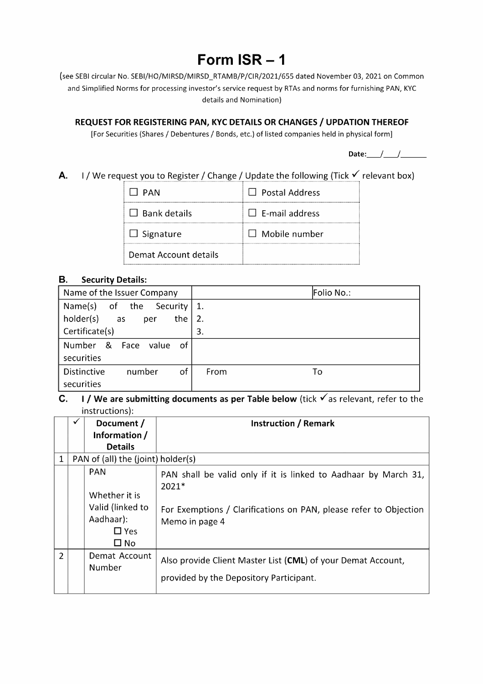# **Form ISR-1**

(see SEBI circular No. SEBI/HO/MIRSD/MIRSD\_RTAMB/P/CIR/2021/655 dated November 03, 2021 on Common and Simplified Norms for processing investor's service request by RTAs and norms for furnishing PAN, KYC details and Nomination)

#### **REQUEST FOR REGISTERING PAN, KYC DETAILS OR CHANGES/ UPDATION THEREOF**

[For Securities (Shares/ Debentures/ Bonds, etc.) of listed companies held in physical form]

**Date:\_\_}** *\_\_J \_\_* 

#### **A. I** / We request you to Register / Change / Update the following (Tick  $\checkmark$  relevant box)

| PAN                   | $\Box$ Postal Address |
|-----------------------|-----------------------|
| $\Box$ Bank details   | $\Box$ E-mail address |
| $\Box$ Signature      | $\Box$ Mobile number  |
| Demat Account details |                       |

#### **B. Security Details:**

| Name of the Issuer Company             |      | Folio No.: |
|----------------------------------------|------|------------|
| Name(s) of the<br>Security $\vert 1$ . |      |            |
| holder(s)<br>the  <br>as<br>per        | 2.   |            |
| Certificate(s)                         | 3.   |            |
| Number & Face value of                 |      |            |
| securities                             |      |            |
| <b>Distinctive</b><br>οf<br>number     | From | To         |
| securities                             |      |            |

#### C. I / We are submitting documents as per Table below (tick  $\checkmark$  as relevant, refer to the instructions):

|                |   | instructions):                                                               |                                                                                                         |
|----------------|---|------------------------------------------------------------------------------|---------------------------------------------------------------------------------------------------------|
|                | v | Document /                                                                   | <b>Instruction / Remark</b>                                                                             |
|                |   | Information /                                                                |                                                                                                         |
|                |   | <b>Details</b>                                                               |                                                                                                         |
| 1              |   | PAN of (all) the (joint) holder(s)                                           |                                                                                                         |
|                |   | <b>PAN</b>                                                                   | PAN shall be valid only if it is linked to Aadhaar by March 31,<br>2021*                                |
|                |   | Whether it is<br>Valid (linked to<br>Aadhaar):<br>$\Box$ Yes<br>$\square$ No | For Exemptions / Clarifications on PAN, please refer to Objection<br>Memo in page 4                     |
| $\overline{2}$ |   | Demat Account<br>Number                                                      | Also provide Client Master List (CML) of your Demat Account,<br>provided by the Depository Participant. |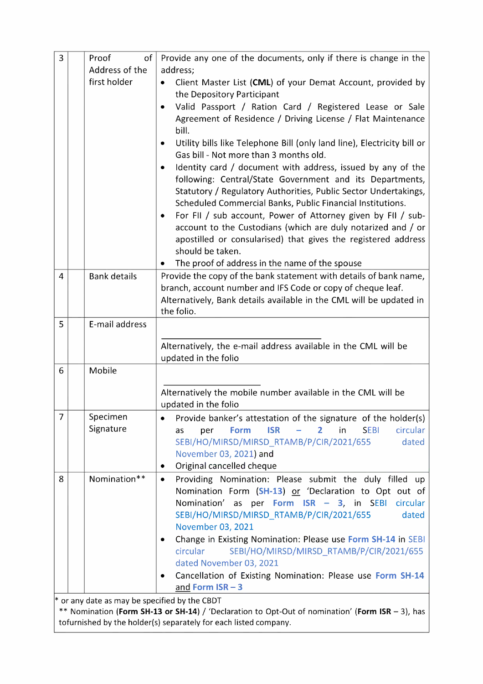| 3              | Proof<br>of                                 | Provide any one of the documents, only if there is change in the                                                                 |
|----------------|---------------------------------------------|----------------------------------------------------------------------------------------------------------------------------------|
|                | Address of the                              | address;                                                                                                                         |
|                | first holder                                | Client Master List (CML) of your Demat Account, provided by<br>$\bullet$                                                         |
|                |                                             | the Depository Participant                                                                                                       |
|                |                                             | Valid Passport / Ration Card / Registered Lease or Sale<br>$\bullet$                                                             |
|                |                                             | Agreement of Residence / Driving License / Flat Maintenance                                                                      |
|                |                                             | bill.                                                                                                                            |
|                |                                             | Utility bills like Telephone Bill (only land line), Electricity bill or<br>٠<br>Gas bill - Not more than 3 months old.           |
|                |                                             | Identity card / document with address, issued by any of the                                                                      |
|                |                                             | following: Central/State Government and its Departments,                                                                         |
|                |                                             | Statutory / Regulatory Authorities, Public Sector Undertakings,                                                                  |
|                |                                             | Scheduled Commercial Banks, Public Financial Institutions.                                                                       |
|                |                                             | For FII / sub account, Power of Attorney given by FII / sub-<br>٠                                                                |
|                |                                             | account to the Custodians (which are duly notarized and / or                                                                     |
|                |                                             | apostilled or consularised) that gives the registered address                                                                    |
|                |                                             | should be taken.                                                                                                                 |
|                |                                             | The proof of address in the name of the spouse                                                                                   |
| 4              | <b>Bank details</b>                         | Provide the copy of the bank statement with details of bank name,<br>branch, account number and IFS Code or copy of cheque leaf. |
|                |                                             | Alternatively, Bank details available in the CML will be updated in                                                              |
|                |                                             | the folio.                                                                                                                       |
| 5              | E-mail address                              |                                                                                                                                  |
|                |                                             |                                                                                                                                  |
|                |                                             | Alternatively, the e-mail address available in the CML will be                                                                   |
|                | Mobile                                      | updated in the folio                                                                                                             |
| 6              |                                             |                                                                                                                                  |
|                |                                             | Alternatively the mobile number available in the CML will be                                                                     |
|                |                                             | updated in the folio                                                                                                             |
| $\overline{7}$ | Specimen                                    | Provide banker's attestation of the signature of the holder(s)                                                                   |
|                | Signature                                   | <b>ISR</b><br><b>SEBI</b><br>circular<br><b>Form</b><br>in<br>as<br>per                                                          |
|                |                                             | SEBI/HO/MIRSD/MIRSD_RTAMB/P/CIR/2021/655<br>dated                                                                                |
|                |                                             | November 03, 2021) and                                                                                                           |
|                |                                             | Original cancelled cheque<br>٠                                                                                                   |
| 8              | Nomination**                                | Providing Nomination: Please submit the duly filled<br><b>up</b><br>٠<br>Nomination Form (SH-13) or 'Declaration to Opt out of   |
|                |                                             | Nomination' as per Form ISR - 3, in SEBI<br>circular                                                                             |
|                |                                             | SEBI/HO/MIRSD/MIRSD RTAMB/P/CIR/2021/655<br>dated                                                                                |
|                |                                             | November 03, 2021                                                                                                                |
|                |                                             | Change in Existing Nomination: Please use Form SH-14 in SEBI<br>٠                                                                |
|                |                                             | SEBI/HO/MIRSD/MIRSD_RTAMB/P/CIR/2021/655<br>circular                                                                             |
|                |                                             | dated November 03, 2021                                                                                                          |
|                |                                             | Cancellation of Existing Nomination: Please use Form SH-14                                                                       |
|                |                                             | and Form $ISR - 3$                                                                                                               |
|                | or any date as may be specified by the CBDT | ** Nomination (Form SH-13 or SH-14) / 'Declaration to Opt-Out of nomination' (Form ISR - 3), has                                 |
|                |                                             | tofurnished by the holder(s) separately for each listed company.                                                                 |

 $\overline{\phantom{a}}$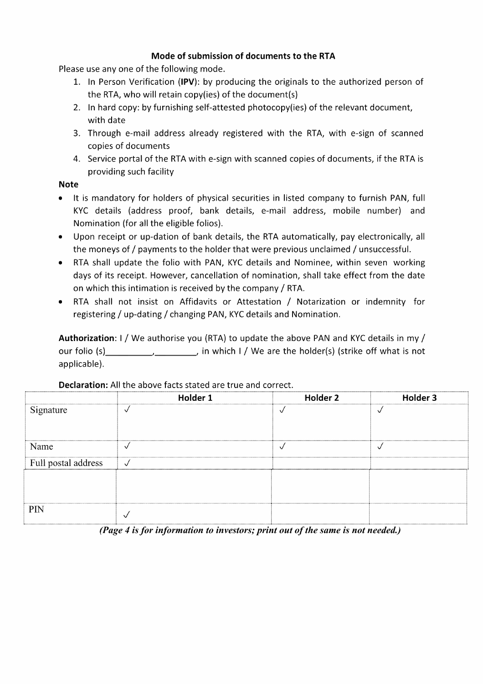#### **Mode of submission of documents to the RTA**

Please use any one of the following mode.

- 1. In Person Verification **(IPV):** by producing the originals to the authorized person of the RTA, who will retain copy(ies) of the document(s)
- 2. In hard copy: by furnishing self-attested photocopy(ies) of the relevant document, with date
- 3. Through e-mail address already registered with the RTA, with e-sign of scanned copies of documents
- 4. Service portal of the RTA with e-sign with scanned copies of documents, if the RTA is providing such facility

**Note** 

- It is mandatory for holders of physical securities in listed company to furnish PAN, full KYC details (address proof, bank details, e-mail address, mobile number) and Nomination (for all the eligible folios).
- Upon receipt or up-dation of bank details, the RTA automatically, pay electronically, all the moneys of/ payments to the holder that were previous unclaimed/ unsuccessful.
- RTA shall update the folio with PAN, KYC details and Nominee, within seven working days of its receipt. However, cancellation of nomination, shall take effect from the date on which this intimation is received by the company/ RTA.
- RTA shall not insist on Affidavits or Attestation / Notarization or indemnity for registering/ up-dating/ changing PAN, KYC details and Nomination.

**Authorization:** I/ We authorise you (RTA) to update the above PAN and KYC details in my/ our folio (s) and the sum of the holder (s) (strike off what is not our folio (s) applicable).

|                     | Holder 1 | Holder 2 | Holder 3 |
|---------------------|----------|----------|----------|
| Signature           |          |          |          |
| Name                |          |          |          |
| Full postal address |          |          |          |
|                     |          |          |          |
|                     |          |          |          |
| PIN                 |          |          |          |

#### **Declaration:** All the above facts stated are true and correct.

*(Page 4 is for information to investors; print out of the same is not needed.)*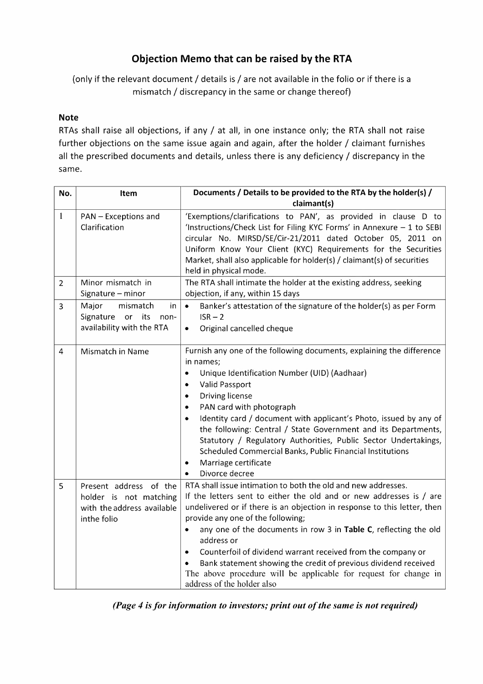## **Objection Memo that can be raised by the RTA**

(only if the relevant document/ details is/ are not available in the folio or if there is a mismatch/ discrepancy in the same or change thereof)

#### **Note**

RTAs shall raise all objections, if any/ at all, in one instance only; the RTA shall not raise further objections on the same issue again and again, after the holder / claimant furnishes all the prescribed documents and details, unless there is any deficiency/ discrepancy in the same.

| No.            | Item                                                                                          | Documents / Details to be provided to the RTA by the holder(s) /<br>claimant(s)                                                                                                                                                                                                                                                                                                                                                                                                                                                                                                                                  |  |
|----------------|-----------------------------------------------------------------------------------------------|------------------------------------------------------------------------------------------------------------------------------------------------------------------------------------------------------------------------------------------------------------------------------------------------------------------------------------------------------------------------------------------------------------------------------------------------------------------------------------------------------------------------------------------------------------------------------------------------------------------|--|
| $\mathbf{1}$   | PAN - Exceptions and<br>Clarification                                                         | 'Exemptions/clarifications to PAN', as provided in clause D to<br>'Instructions/Check List for Filing KYC Forms' in Annexure - 1 to SEBI<br>circular No. MIRSD/SE/Cir-21/2011 dated October 05, 2011 on<br>Uniform Know Your Client (KYC) Requirements for the Securities<br>Market, shall also applicable for holder(s) / claimant(s) of securities<br>held in physical mode.                                                                                                                                                                                                                                   |  |
| $\overline{2}$ | Minor mismatch in<br>Signature - minor                                                        | The RTA shall intimate the holder at the existing address, seeking<br>objection, if any, within 15 days                                                                                                                                                                                                                                                                                                                                                                                                                                                                                                          |  |
| 3              | mismatch<br>Major<br>in<br>Signature<br>or<br>its<br>non-<br>availability with the RTA        | Banker's attestation of the signature of the holder(s) as per Form<br>$\bullet$<br>$ISR - 2$<br>Original cancelled cheque<br>۰                                                                                                                                                                                                                                                                                                                                                                                                                                                                                   |  |
| 4              | Mismatch in Name                                                                              | Furnish any one of the following documents, explaining the difference<br>in names;<br>Unique Identification Number (UID) (Aadhaar)<br>$\bullet$<br><b>Valid Passport</b><br>$\bullet$<br><b>Driving license</b><br>$\bullet$<br>PAN card with photograph<br>Identity card / document with applicant's Photo, issued by any of<br>$\bullet$<br>the following: Central / State Government and its Departments,<br>Statutory / Regulatory Authorities, Public Sector Undertakings,<br>Scheduled Commercial Banks, Public Financial Institutions<br>Marriage certificate<br>$\bullet$<br>Divorce decree<br>$\bullet$ |  |
| 5              | Present address of the<br>holder is not matching<br>with the address available<br>inthe folio | RTA shall issue intimation to both the old and new addresses.<br>If the letters sent to either the old and or new addresses is / are<br>undelivered or if there is an objection in response to this letter, then<br>provide any one of the following;<br>any one of the documents in row 3 in Table C, reflecting the old<br>address or<br>Counterfoil of dividend warrant received from the company or<br>٠<br>Bank statement showing the credit of previous dividend received<br>The above procedure will be applicable for request for change in<br>address of the holder also                                |  |

*(Page 4 is for information to investors; print out of the same is not required)*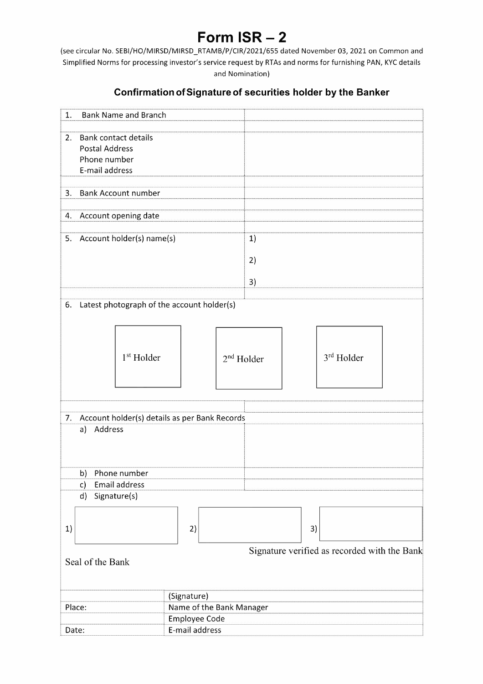## **Form ISR-2**

(see circular No. SEBI/HO/MIRSD/MIRSD\_RTAMB/P/CIR/2021/655 dated November 03, 2021 on Common and Simplified Norms for processing investor's service request by RTAs and norms for furnishing PAN, KYC details and Nomination)

| <b>Bank Name and Branch</b><br>1.                                                            |                                              |              |            |
|----------------------------------------------------------------------------------------------|----------------------------------------------|--------------|------------|
| <b>Bank contact details</b><br>2.<br><b>Postal Address</b><br>Phone number<br>E-mail address |                                              |              |            |
| <b>Bank Account number</b><br>3.                                                             |                                              |              |            |
| Account opening date<br>4.                                                                   |                                              |              |            |
| Account holder(s) name(s)<br>5.                                                              |                                              | 1)           |            |
|                                                                                              |                                              | 2)           |            |
|                                                                                              |                                              | 3)           |            |
| Latest photograph of the account holder(s)<br>6.                                             |                                              |              |            |
| 1 <sup>st</sup> Holder                                                                       |                                              | $2nd$ Holder | 3rd Holder |
| Account holder(s) details as per Bank Records<br>7.                                          |                                              |              |            |
| Address<br>a)                                                                                |                                              |              |            |
| b)<br>Phone number                                                                           |                                              |              |            |
| <b>Email address</b><br>c)<br>Signature(s)<br>d)                                             |                                              |              |            |
| 1)                                                                                           | 2)                                           |              | 3)         |
| Seal of the Bank                                                                             | Signature verified as recorded with the Bank |              |            |
|                                                                                              | (Signature)                                  |              |            |
| Place:                                                                                       | Name of the Bank Manager                     |              |            |
|                                                                                              | <b>Employee Code</b>                         |              |            |
| Date:                                                                                        | E-mail address                               |              |            |

#### **Confirmation of Signature of securities holder by the Banker**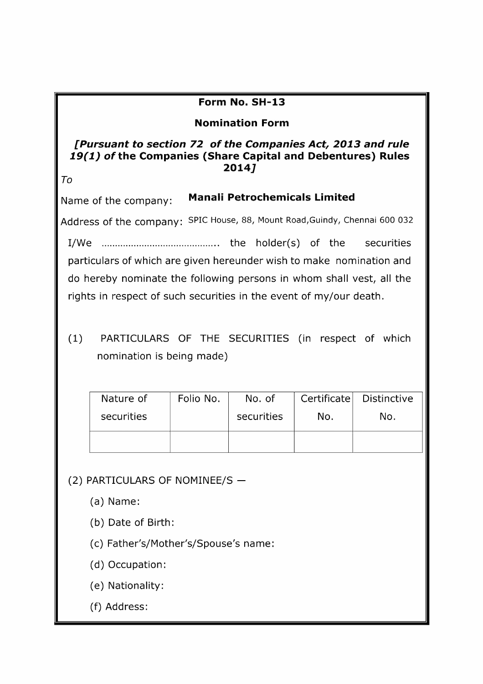## **Form No. SH-13**

### **Nomination Form**

#### *[Pursuant to section 72 of the Companies Act, 2013 and rule 19(1) of* **the Companies {Share Capital and Debentures} Rules 2014]**

*To* 

Name of the company: **Manali Petrochemicals Limited** 

Address of the company: SPIC House, 88, Mount Road,Guindy, Chennai 600 032

I/We the holder(s) of the securities particulars of which are given hereunder wish to make nomination and do hereby nominate the following persons in whom shall vest, all the rights in respect of such securities in the event of my/our death.

(1) PARTICULARS OF THE SECURITIES (in respect of which nomination is being made)

| Nature of  | Folio No. | No. of     |     | Certificate Distinctive |
|------------|-----------|------------|-----|-------------------------|
| securities |           | securities | No. | No.                     |
|            |           |            |     |                         |

## **(2) PARTICULARS OF NOMINEE/S -**

(a) Name:

- (b) Date of Birth:
- ( c) Father's/Mother's/Spouse's name:
- (d) Occupation:
- (e) Nationality:
- (f) Address: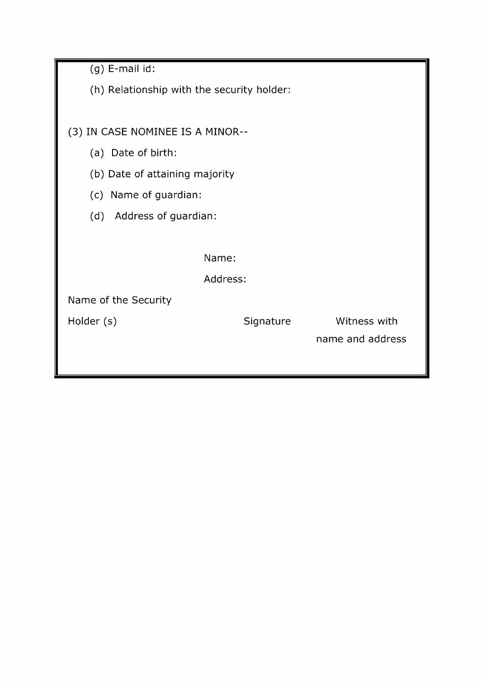| $(g)$ E-mail id:                           |           |                  |  |
|--------------------------------------------|-----------|------------------|--|
| (h) Relationship with the security holder: |           |                  |  |
|                                            |           |                  |  |
| (3) IN CASE NOMINEE IS A MINOR--           |           |                  |  |
| (a) Date of birth:                         |           |                  |  |
| (b) Date of attaining majority             |           |                  |  |
| (c) Name of guardian:                      |           |                  |  |
| (d) Address of guardian:                   |           |                  |  |
|                                            |           |                  |  |
|                                            | Name:     |                  |  |
|                                            | Address:  |                  |  |
| Name of the Security                       |           |                  |  |
| Holder (s)                                 | Signature | Witness with     |  |
|                                            |           | name and address |  |
|                                            |           |                  |  |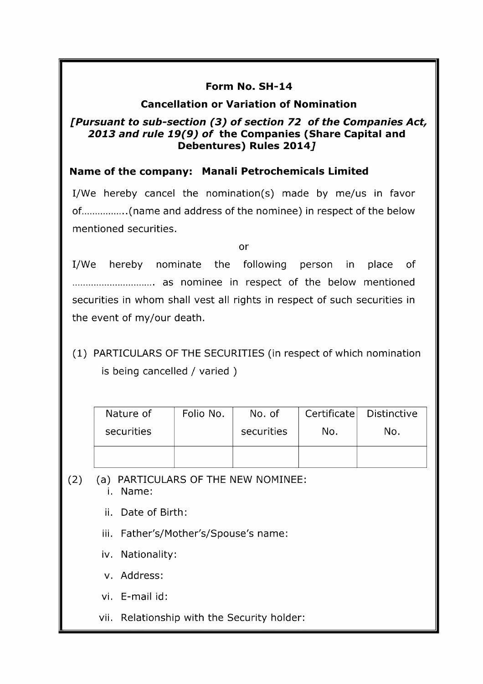## **Form No. SH-14**

### **Cancellation or Variation of Nomination**

## *[Pursuant to sub-section (3) of section 72 of the Companies Act, 2013 and rule 19(9) of* **the Companies {Share Capital and Debentures) Rules 2014]**

### **Name of the company: Manali Petrochemicals Limited**

I/We hereby cancel the nomination(s) made by me/us in favor of (name and address of the nominee) in respect of the below mentioned securities.

or

I/We hereby nominate the following person in place of ............................... as nominee in respect of the below mentioned securities in whom shall vest all rights in respect of such securities in the event of my/our death.

(1) PARTICULARS OF THE SECURITIES (in respect of which nomination is being cancelled / varied )

| Nature of  | Folio No. | No. of     |     | Certificate Distinctive |
|------------|-----------|------------|-----|-------------------------|
| securities |           | securities | No. | No.                     |
|            |           |            |     |                         |

- (2) (a) PARTICULARS OF THE NEW NOMINEE:
	- i. Name:
	- ii. Date of Birth:
	- iii. Father's/Mother's/Spouse's name:
	- iv. Nationality:
	- v. Address:
	- vi. E-mail id:
	- vii. Relationship with the Security holder: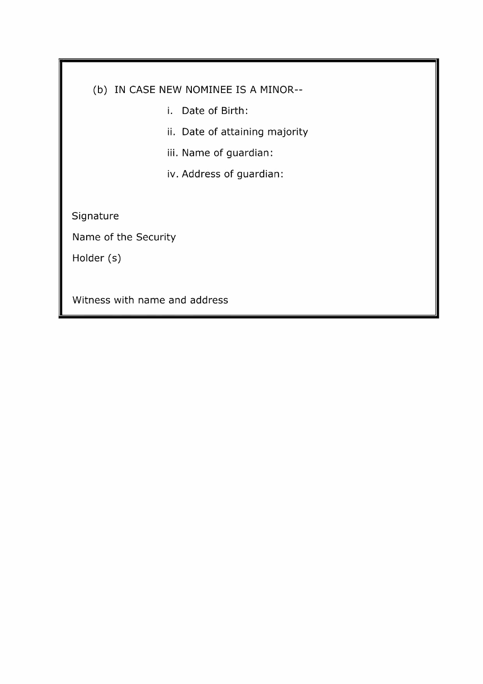(b) IN CASE NEW NOMINEE IS A MINOR--

i. Date of Birth:

ii. Date of attaining majority

iii. Name of guardian:

iv. Address of guardian:

Signature

Name of the Security

Holder (s)

Witness with name and address